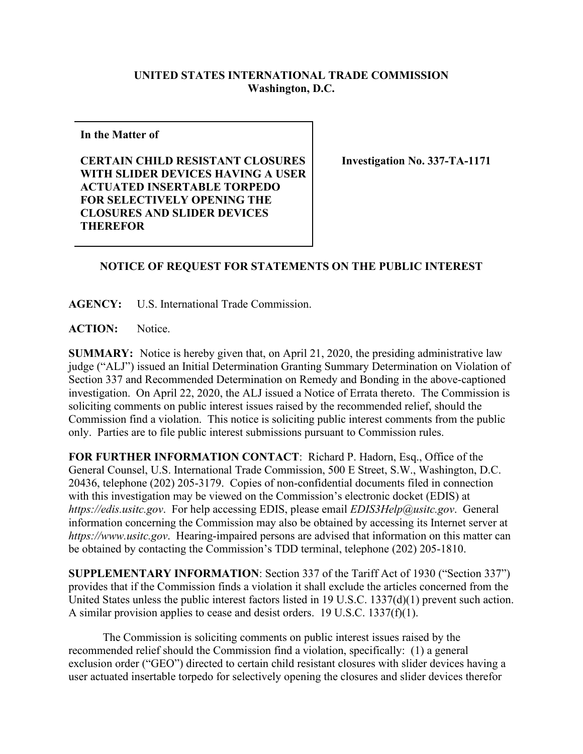## **UNITED STATES INTERNATIONAL TRADE COMMISSION Washington, D.C.**

**In the Matter of**

**CERTAIN CHILD RESISTANT CLOSURES WITH SLIDER DEVICES HAVING A USER ACTUATED INSERTABLE TORPEDO FOR SELECTIVELY OPENING THE CLOSURES AND SLIDER DEVICES THEREFOR**

**Investigation No. 337-TA-1171**

## **NOTICE OF REQUEST FOR STATEMENTS ON THE PUBLIC INTEREST**

**AGENCY:** U.S. International Trade Commission.

**ACTION:** Notice.

**SUMMARY:** Notice is hereby given that, on April 21, 2020, the presiding administrative law judge ("ALJ") issued an Initial Determination Granting Summary Determination on Violation of Section 337 and Recommended Determination on Remedy and Bonding in the above-captioned investigation. On April 22, 2020, the ALJ issued a Notice of Errata thereto. The Commission is soliciting comments on public interest issues raised by the recommended relief, should the Commission find a violation. This notice is soliciting public interest comments from the public only. Parties are to file public interest submissions pursuant to Commission rules.

**FOR FURTHER INFORMATION CONTACT**: Richard P. Hadorn, Esq., Office of the General Counsel, U.S. International Trade Commission, 500 E Street, S.W., Washington, D.C. 20436, telephone (202) 205-3179. Copies of non-confidential documents filed in connection with this investigation may be viewed on the Commission's electronic docket (EDIS) at *https://edis.usitc.gov*. For help accessing EDIS, please email *EDIS3Help@usitc.gov*. General information concerning the Commission may also be obtained by accessing its Internet server at *https://www.usitc.gov*. Hearing-impaired persons are advised that information on this matter can be obtained by contacting the Commission's TDD terminal, telephone (202) 205-1810.

**SUPPLEMENTARY INFORMATION**: Section 337 of the Tariff Act of 1930 ("Section 337") provides that if the Commission finds a violation it shall exclude the articles concerned from the United States unless the public interest factors listed in 19 U.S.C. 1337(d)(1) prevent such action. A similar provision applies to cease and desist orders. 19 U.S.C. 1337(f)(1).

The Commission is soliciting comments on public interest issues raised by the recommended relief should the Commission find a violation, specifically: (1) a general exclusion order ("GEO") directed to certain child resistant closures with slider devices having a user actuated insertable torpedo for selectively opening the closures and slider devices therefor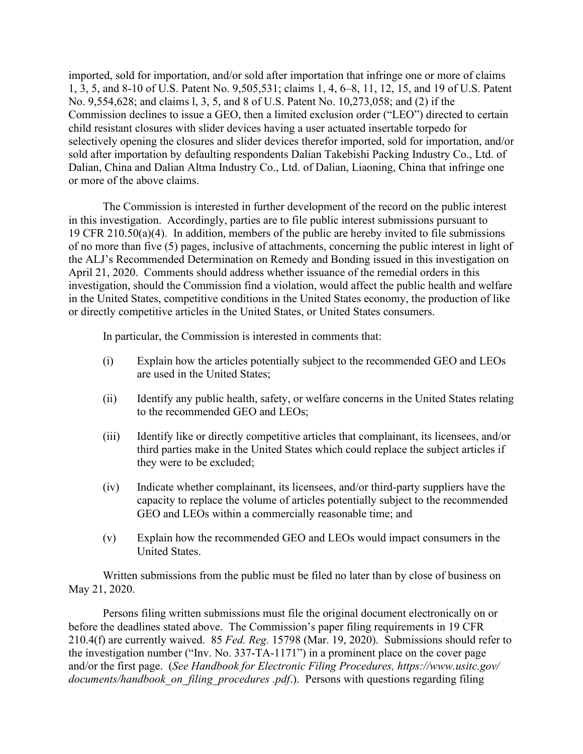imported, sold for importation, and/or sold after importation that infringe one or more of claims 1, 3, 5, and 8-10 of U.S. Patent No. 9,505,531; claims 1, 4, 6–8, 11, 12, 15, and 19 of U.S. Patent No. 9,554,628; and claims l, 3, 5, and 8 of U.S. Patent No. 10,273,058; and (2) if the Commission declines to issue a GEO, then a limited exclusion order ("LEO") directed to certain child resistant closures with slider devices having a user actuated insertable torpedo for selectively opening the closures and slider devices therefor imported, sold for importation, and/or sold after importation by defaulting respondents Dalian Takebishi Packing Industry Co., Ltd. of Dalian, China and Dalian Altma Industry Co., Ltd. of Dalian, Liaoning, China that infringe one or more of the above claims.

The Commission is interested in further development of the record on the public interest in this investigation. Accordingly, parties are to file public interest submissions pursuant to 19 CFR 210.50(a)(4). In addition, members of the public are hereby invited to file submissions of no more than five (5) pages, inclusive of attachments, concerning the public interest in light of the ALJ's Recommended Determination on Remedy and Bonding issued in this investigation on April 21, 2020. Comments should address whether issuance of the remedial orders in this investigation, should the Commission find a violation, would affect the public health and welfare in the United States, competitive conditions in the United States economy, the production of like or directly competitive articles in the United States, or United States consumers.

In particular, the Commission is interested in comments that:

- (i) Explain how the articles potentially subject to the recommended GEO and LEOs are used in the United States;
- (ii) Identify any public health, safety, or welfare concerns in the United States relating to the recommended GEO and LEOs;
- (iii) Identify like or directly competitive articles that complainant, its licensees, and/or third parties make in the United States which could replace the subject articles if they were to be excluded;
- (iv) Indicate whether complainant, its licensees, and/or third-party suppliers have the capacity to replace the volume of articles potentially subject to the recommended GEO and LEOs within a commercially reasonable time; and
- (v) Explain how the recommended GEO and LEOs would impact consumers in the United States.

Written submissions from the public must be filed no later than by close of business on May 21, 2020.

Persons filing written submissions must file the original document electronically on or before the deadlines stated above. The Commission's paper filing requirements in 19 CFR 210.4(f) are currently waived. 85 *Fed. Reg.* 15798 (Mar. 19, 2020). Submissions should refer to the investigation number ("Inv. No. 337-TA-1171") in a prominent place on the cover page and/or the first page. (*See Handbook for Electronic Filing Procedures, https://www.usitc.gov/ documents/handbook\_on\_filing\_procedures .pdf*.). Persons with questions regarding filing